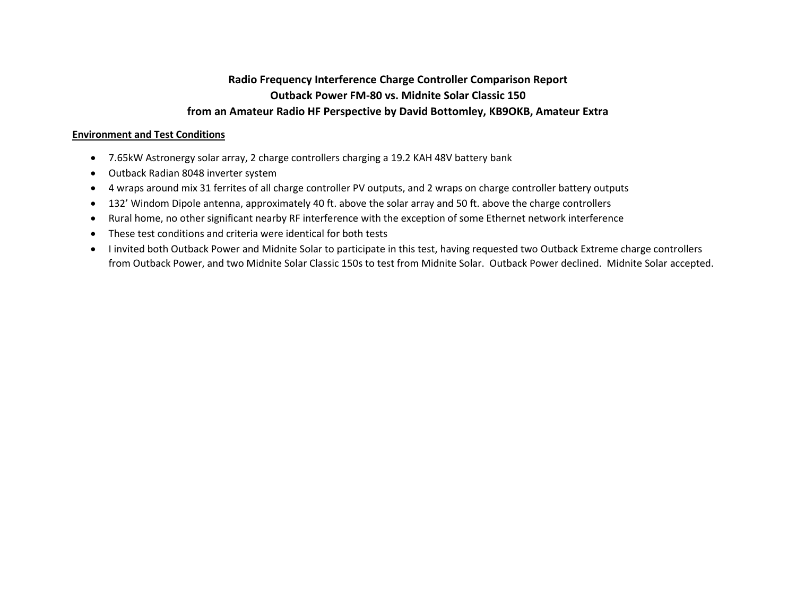## **Radio Frequency Interference Charge Controller Comparison Report Outback Power FM-80 vs. Midnite Solar Classic 150 from an Amateur Radio HF Perspective by David Bottomley, KB9OKB, Amateur Extra**

## **Environment and Test Conditions**

- 7.65kW Astronergy solar array, 2 charge controllers charging a 19.2 KAH 48V battery bank
- Outback Radian 8048 inverter system
- 4 wraps around mix 31 ferrites of all charge controller PV outputs, and 2 wraps on charge controller battery outputs
- 132' Windom Dipole antenna, approximately 40 ft. above the solar array and 50 ft. above the charge controllers
- Rural home, no other significant nearby RF interference with the exception of some Ethernet network interference
- These test conditions and criteria were identical for both tests
- I invited both Outback Power and Midnite Solar to participate in this test, having requested two Outback Extreme charge controllers from Outback Power, and two Midnite Solar Classic 150s to test from Midnite Solar. Outback Power declined. Midnite Solar accepted.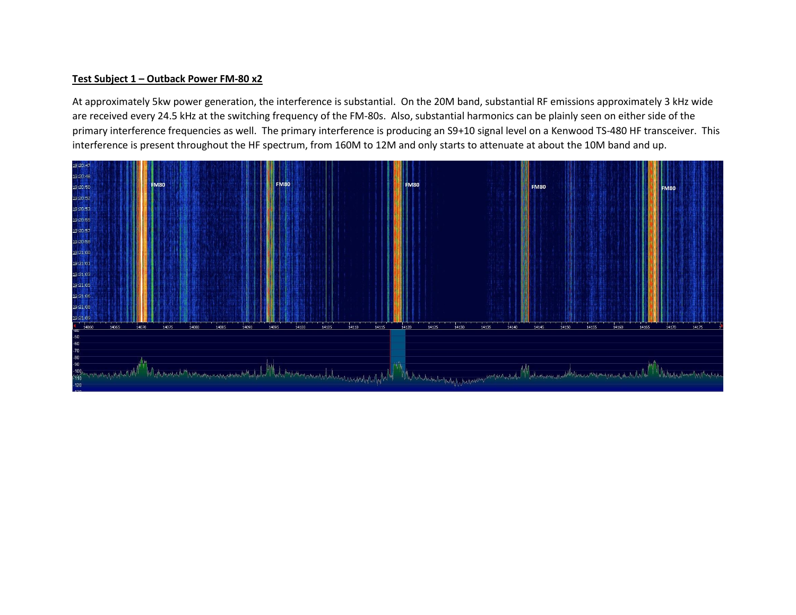## **Test Subject 1 – Outback Power FM-80 x2**

At approximately 5kw power generation, the interference is substantial. On the 20M band, substantial RF emissions approximately 3 kHz wide are received every 24.5 kHz at the switching frequency of the FM-80s. Also, substantial harmonics can be plainly seen on either side of the primary interference frequencies as well. The primary interference is producing an S9+10 signal level on a Kenwood TS-480 HF transceiver. This interference is present throughout the HF spectrum, from 160M to 12M and only starts to attenuate at about the 10M band and up.

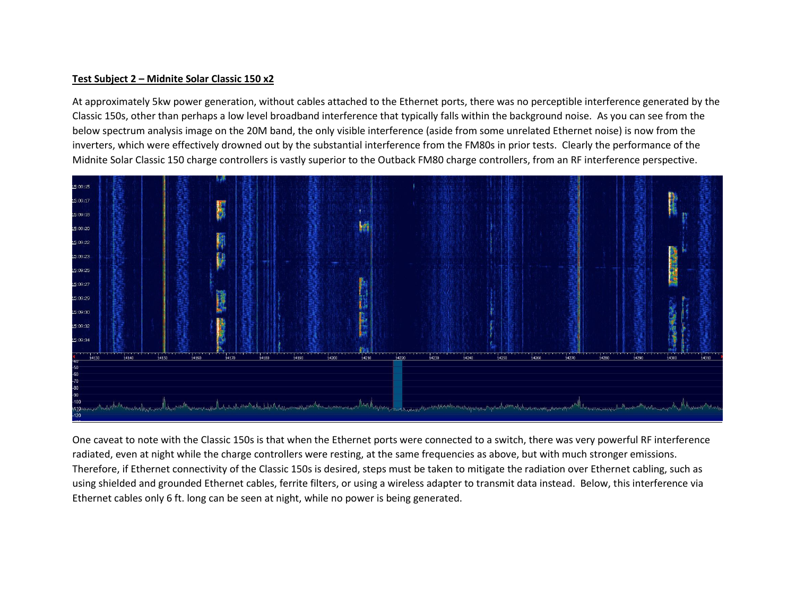## **Test Subject 2 – Midnite Solar Classic 150 x2**

At approximately 5kw power generation, without cables attached to the Ethernet ports, there was no perceptible interference generated by the Classic 150s, other than perhaps a low level broadband interference that typically falls within the background noise. As you can see from the below spectrum analysis image on the 20M band, the only visible interference (aside from some unrelated Ethernet noise) is now from the inverters, which were effectively drowned out by the substantial interference from the FM80s in prior tests. Clearly the performance of the Midnite Solar Classic 150 charge controllers is vastly superior to the Outback FM80 charge controllers, from an RF interference perspective.



One caveat to note with the Classic 150s is that when the Ethernet ports were connected to a switch, there was very powerful RF interference radiated, even at night while the charge controllers were resting, at the same frequencies as above, but with much stronger emissions. Therefore, if Ethernet connectivity of the Classic 150s is desired, steps must be taken to mitigate the radiation over Ethernet cabling, such as using shielded and grounded Ethernet cables, ferrite filters, or using a wireless adapter to transmit data instead. Below, this interference via Ethernet cables only 6 ft. long can be seen at night, while no power is being generated.